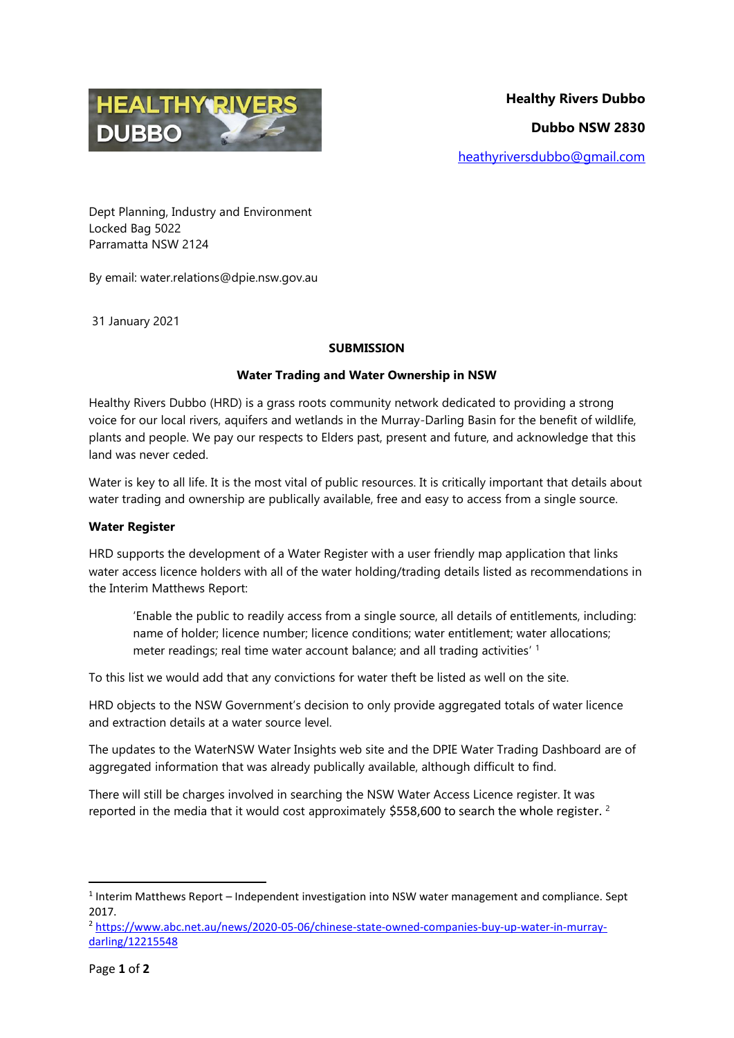

Dept Planning, Industry and Environment Locked Bag 5022 Parramatta NSW 2124

By email: water.relations@dpie.nsw.gov.au

31 January 2021

# **SUBMISSION**

# **Water Trading and Water Ownership in NSW**

Healthy Rivers Dubbo (HRD) is a grass roots community network dedicated to providing a strong voice for our local rivers, aquifers and wetlands in the Murray-Darling Basin for the benefit of wildlife, plants and people. We pay our respects to Elders past, present and future, and acknowledge that this land was never ceded.

Water is key to all life. It is the most vital of public resources. It is critically important that details about water trading and ownership are publically available, free and easy to access from a single source.

## **Water Register**

HRD supports the development of a Water Register with a user friendly map application that links water access licence holders with all of the water holding/trading details listed as recommendations in the Interim Matthews Report:

'Enable the public to readily access from a single source, all details of entitlements, including: name of holder; licence number; licence conditions; water entitlement; water allocations; meter readings; real time water account balance; and all trading activities' 1

To this list we would add that any convictions for water theft be listed as well on the site.

HRD objects to the NSW Government's decision to only provide aggregated totals of water licence and extraction details at a water source level.

The updates to the WaterNSW Water Insights web site and the DPIE Water Trading Dashboard are of aggregated information that was already publically available, although difficult to find.

There will still be charges involved in searching the NSW Water Access Licence register. It was reported in the media that it would cost approximately \$558,600 to search the whole register. <sup>2</sup>

**.** 

 $<sup>1</sup>$  Interim Matthews Report – Independent investigation into NSW water management and compliance. Sept</sup> 2017.

<sup>2</sup> [https://www.abc.net.au/news/2020-05-06/chinese-state-owned-companies-buy-up-water-in-murray](https://www.abc.net.au/news/2020-05-06/chinese-state-owned-companies-buy-up-water-in-murray-darling/12215548)[darling/12215548](https://www.abc.net.au/news/2020-05-06/chinese-state-owned-companies-buy-up-water-in-murray-darling/12215548)